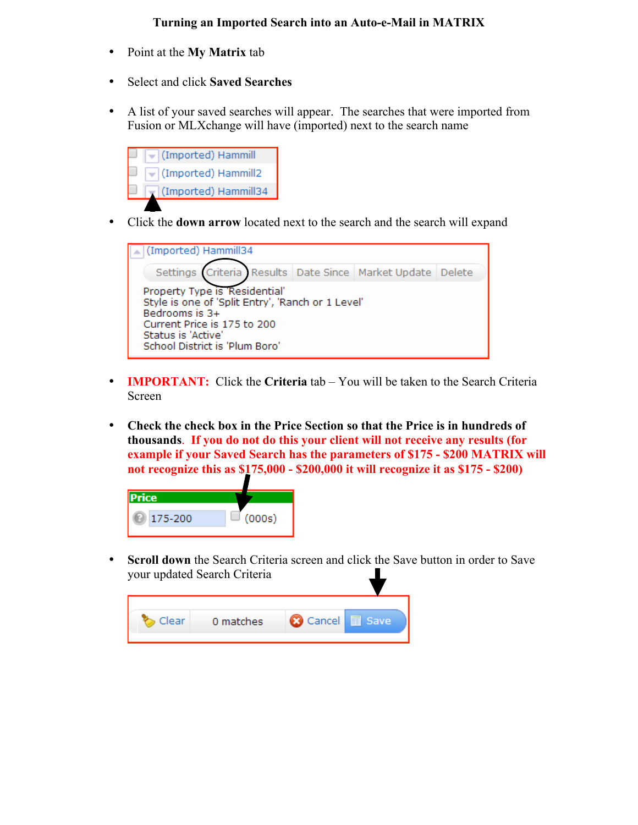## **Turning an Imported Search into an Auto-e-Mail in MATRIX**

- Point at the **My Matrix** tab
- Select and click **Saved Searches**
- A list of your saved searches will appear. The searches that were imported from Fusion or MLXchange will have (imported) next to the search name



• Click the **down arrow** located next to the search and the search will expand



- **IMPORTANT:** Click the **Criteria** tab You will be taken to the Search Criteria Screen
- **Check the check box in the Price Section so that the Price is in hundreds of thousands**. **If you do not do this your client will not receive any results (for example if your Saved Search has the parameters of \$175 - \$200 MATRIX will not recognize this as \$175,000 - \$200,000 it will recognize it as \$175 - \$200)**



**Scroll down** the Search Criteria screen and click the Save button in order to Save your updated Search Criteria

| Cancel <b>B</b> Save<br>0 matches<br>llear |  |  |
|--------------------------------------------|--|--|
|                                            |  |  |